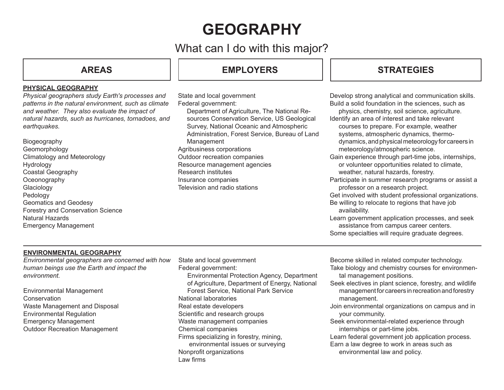# **GEOGRAPHY**

What can I do with this major?

## **PHYSICAL GEOGRAPHY**

*Physical geographers study Earth's processes and patterns in the natural environment, such as climate and weather. They also evaluate the impact of natural hazards, such as hurricanes, tornadoes, and earthquakes.*

Biogeography Geomorphology Climatology and Meteorology Hydrology Coastal Geography **Oceonography** Glaciology Pedology Geomatics and Geodesy Forestry and Conservation Science Natural Hazards Emergency Management

## **AREAS EMPLOYERS**

State and local government Federal government:

Department of Agriculture, The National Resources Conservation Service, US Geological Survey, National Oceanic and Atmospheric Administration, Forest Service, Bureau of Land Management Agribusiness corporations

- Outdoor recreation companies
- Resource management agencies Research institutes
- Insurance companies
- Television and radio stations

## **STRATEGIES**

Develop strong analytical and communication skills. Build a solid foundation in the sciences, such as

physics, chemistry, soil science, agriculture. Identify an area of interest and take relevant

courses to prepare. For example, weather systems, atmospheric dynamics, thermodynamics, and physical meteorology for careers in meteorology/atmospheric science.

- Gain experience through part-time jobs, internships, or volunteer opportunities related to climate, weather, natural hazards, forestry.
- Participate in summer research programs or assist a professor on a research project.
- Get involved with student professional organizations.
- Be willing to relocate to regions that have job availability.
- Learn government application processes, and seek assistance from campus career centers. Some specialties will require graduate degrees.

## **ENVIRONMENTAL GEOGRAPHY**

*Environmental geographers are concerned with how human beings use the Earth and impact the environment.*

Environmental Management Conservation Waste Management and Disposal Environmental Regulation Emergency Management Outdoor Recreation Management

State and local government Federal government: Environmental Protection Agency, Department of Agriculture, Department of Energy, National Forest Service, National Park Service National laboratories Real estate developers Scientific and research groups Waste management companies Chemical companies Firms specializing in forestry, mining, environmental issues or surveying Nonprofit organizations Law firms

Become skilled in related computer technology.

- Take biology and chemistry courses for environmental management positions.
- Seek electives in plant science, forestry, and wildlife management for careers in recreation and forestry management.
- Join environmental organizations on campus and in your community.
- Seek environmental-related experience through internships or part-time jobs.
- Learn federal government job application process.
- Earn a law degree to work in areas such as environmental law and policy.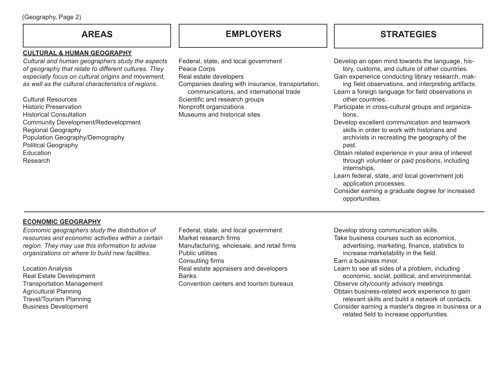(Geography, Page 2)

### **CULTURAL & HUMAN GEOGRAPHY**

*Cultural and human geographers study the aspects of geography that relate to different cultures. They especially focus on cultural origins and movement, as well as the cultural characteristics of regions.*

Cultural Resources Historic Preservation Historical Consultation Community Development/Redevelopment Regional Geography Population Geography/Demography Political Geography **Education** Research

Federal, state, and local government Peace Corps Real estate developers Companies dealing with insurance, transportation, communications, and international trade Scientific and research groups Nonprofit organizations Museums and historical sites

**AREAS EMPLOYERS STRATEGIES**

Develop an open mind towards the language, history, customs, and culture of other countries. Gain experience conducting library research, making field observations, and interpreting artifacts. Learn a foreign language for field observations in other countries. Participate in cross-cultural groups and organizations. Develop excellent communication and teamwork skills in order to work with historians and archivists in recreating the geography of the past. Obtain related experience in your area of interest through volunteer or paid positions, including internships. Learn federal, state, and local government job application processes.

Consider earning a graduate degree for increased opportunities.

### **ECONOMIC GEOGRAPHY**

*Economic geographers study the distribution of resources and economic activities within a certain region. They may use this information to advise organizations on where to build new facilities.*

Location Analysis Real Estate Development Transportation Management Agricultural Planning Travel/Tourism Planning Business Development

Federal, state, and local government Market research firms Manufacturing, wholesale, and retail firms Public utilities Consulting firms Real estate appraisers and developers **Banks** Convention centers and tourism bureaus

Develop strong communication skills.

Take business courses such as economics, advertising, marketing, finance, statistics to increase marketability in the field.

Earn a business minor.

Learn to see all sides of a problem, including economic, social, political, and environmental.

Observe city/county advisory meetings.

Obtain business-related work experience to gain relevant skills and build a network of contacts. Consider earning a master's degree in business or a related field to increase opportunities.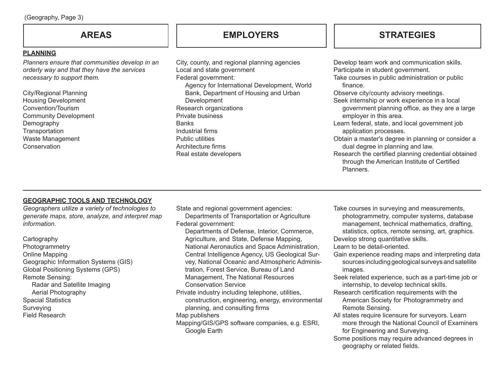## **PLANNING**

*Planners ensure that communities develop in an orderly way and that they have the services necessary to support them.*

City/Regional Planning Housing Development Convention/Tourism Community Development Demography **Transportation** Waste Management **Conservation** 

City, county, and regional planning agencies Local and state government Federal government: Agency for International Development, World Bank, Department of Housing and Urban Development Research organizations Private business **Banks** Industrial firms Public utilities Architecture firms Real estate developers

## **AREAS EMPLOYERS STRATEGIES**

Develop team work and communication skills. Participate in student government. Take courses in public administration or public finance. Observe city/county advisory meetings. Seek internship or work experience in a local government planning office, as they are a large employer in this area. Learn federal, state, and local government job application processes. Obtain a master's degree in planning or consider a dual degree in planning and law. Research the certified planning credential obtained through the American Institute of Certified Planners.

## **GEOGRAPHIC TOOLS AND TECHNOLOGY**

*Geographers utilize a variety of technologies to generate maps, store, analyze, and interpret map information.*

**Cartography** Photogrammetry Online Mapping Geographic Information Systems (GIS) Global Positioning Systems (GPS) Remote Sensing: Radar and Satellite Imaging Aerial Photography Spacial Statistics Surveying Field Research

State and regional government agencies:

Departments of Transportation or Agriculture Federal government:

- Departments of Defense, Interior, Commerce, Agriculture, and State, Defense Mapping, National Aeronautics and Space Administration, Central Intelligence Agency, US Geological Survey, National Oceanic and Atmospheric Administration, Forest Service, Bureau of Land Management, The National Resources Conservation Service
- Private industry including telephone, utilities,
- construction, engineering, energy, environmental planning, and consulting firms
- Map publishers
- Mapping/GIS/GPS software companies, e.g. ESRI, Google Earth

Take courses in surveying and measurements,

- photogrammetry, computer systems, database management, technical mathematics, drafting, statistics, optics, remote sensing, art, graphics. Develop strong quantitative skills.
- Learn to be detail-oriented.
- Gain experience reading maps and interpreting data sources including geological surveys and satellite images.
- Seek related experience, such as a part-time job or internship, to develop technical skills.
- Research certification requirements with the American Society for Photogrammetry and Remote Sensing.
- All states require licensure for surveyors. Learn more through the National Council of Examiners for Engineering and Surveying.
- Some positions may require advanced degrees in geography or related fields.